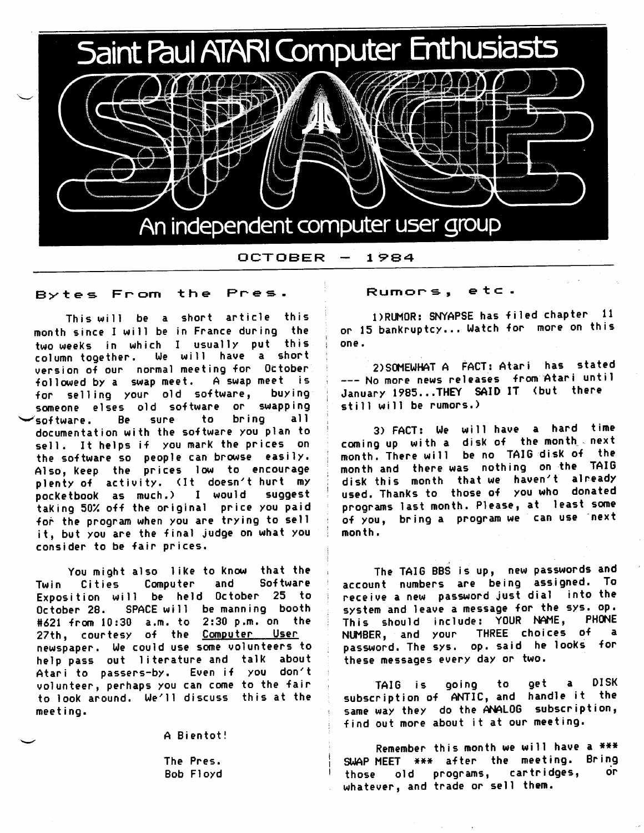

# Bytes From the Pres.

This will be a short article this month since I will be in France during the two weeks in which I usually put this column together. *We* will have a short version of our normal meeting for October followed by a swap meet. A swap meet is for selling your old software, someone elses old software or swapping  $^{\prime}$ software. Be sure to bring all documentation with the software you plan to sell. It helps if you mark the prices on the software so people can browse easily, Also, **keep** the prices low to encourage <sup>p</sup>lenty of activity. <It doesn't hurt my pocketbook as much.) I would taking 50¾ off the original price you paid for the program when you are trying to sell it, but you are the final judge on what you consider to be fair prices.

You might also 1 ike to know that the Twin Cities Computer and Exposition will be held October 25 to October 28, SPACE will be manning booth B621 from 10:30 a.m. to 2:30 p.m. on the 27th, courtesy of the Computer User newspaper. We could use some volunteers to help pass out literature and talk about Atari to passers-by, Even if you don't volunteer, perhaps you can come to the fair to look around. We'll discuss this at the meeting.

A Bientot!

The Pres. Bob Floyd

# Rumors, etc .

!)RUMOR: SNYAPSE has filed chapter <sup>11</sup> or 15 bankruptcy ... Watch for more on this one.

2) SOMEWHAT A FACT: Atari has stated <sup>i</sup>--- No more news *re* 1 **eases** from ·Atari un ti <sup>1</sup> January 1985...THEY SAID IT (but there still will be rumors.)

3) FACT: We will have a hard time coming up with a disk of the month .. *next*  month. There will be no TAIG disk of the month and there was nothing on the TAIG disk this month that we haven't already used. Thanks to those of you who donated programs last month. Please, at least some of you, bring a program we can use ·next month,

The TAIG BBS is up, new passwords and account numbers are being assigned. To receive a new password just dial into the system and leave a message for the sys. op. This should include: YOUR NAME, PHONE Nlt1BER, and your THREE choices of <sup>a</sup> password. The sys. op. said he looks for these messages every day or two.

TAIG is going to get a DISK subscription of ANTIC, and handle it the same way they do the ANALOG subscription, find out more about it at our meeting.

Remember this month we will have <sup>a</sup>\*\*\* SWAP MEET \*\*\* after the meeting. Bring those old programs, cartridges, whatever, and trade or sell them. or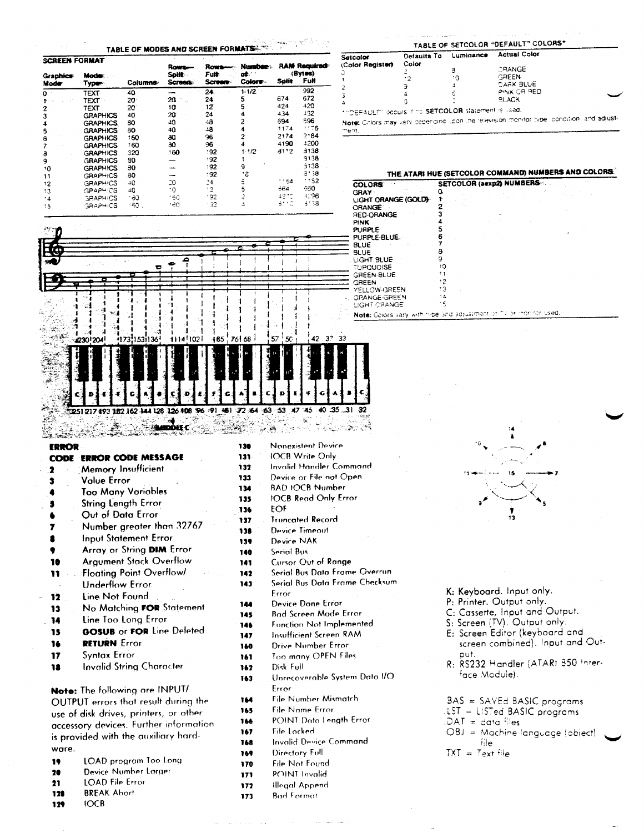**TABLE OF MODES AND SCREEN FORMATS: 78** 

| <b>SCREEN FORMAT</b>      |                       |          | Rows-                           | Rows—            | Number          |       | <b>RAM Required:</b> |
|---------------------------|-----------------------|----------|---------------------------------|------------------|-----------------|-------|----------------------|
| <b>Graphics:</b><br>Moder | <b>Mode:</b><br>Турен | Columns⊵ | <b>Sollt</b><br><b>Screens:</b> | Full:<br>Screen- | o≵∴≏<br>Colors- | Solit | (Bytes)<br>Full      |
| Ω                         | TEXT                  | 40       |                                 | 24               | $1-1/2$         |       | 992                  |
|                           | TEXT                  | $20 -$   | 20                              | 24               | 5               | 674   | 672                  |
| 2                         | TEXT                  | 20       | 10 <sup>°</sup>                 | 12               | 5               | 424   | 420                  |
| 3                         | <b>GRAPHICS</b>       | 40       | 20                              | 24               | Δ               | 434   | 432                  |
|                           | <b>GRAPHICS</b>       | 80       | 40                              | 48               | 2               | 694   | 696                  |
| 5                         | <b>GRAPHICS</b>       | 80       | 40                              | 48               | 4               | 1174  | 1176                 |
| 6                         | <b>GRAPHICS</b>       | 160      | 80                              | 96               | 2               | 2174  | 2.84                 |
|                           | <b>GRAPHICS</b>       | 160      | 30                              | 96               | 4               | 4190  | 4200                 |
| 8                         | <b>GRAPHICS</b>       | 320      | 160                             | 192              | $1 - 1/2$       | 8112  | 3138                 |
| 9                         | <b>GRAPHICS</b>       | 30       |                                 | 192              |                 |       | 3138                 |
| ٠٥                        | <b>GRAPHICS</b>       | 30       |                                 | 192              | 9               |       | 3138                 |
| 11                        | <b>GRAPHICS</b>       | 80       |                                 | 192              | ٠6              |       | 3'38                 |
| 12                        | <b>GRAPHICS</b>       | 40       | 20                              | 24               | 5               | 1154  | 1.52                 |
| 13                        | GPAPHICS              | 40       | 10                              | 12               | 5               | -64   | -60                  |
| $^{\circ}$ 4              | <b>GRAPHICS</b>       | ֋0       | 16O                             | -92              |                 | 427C  | 4296                 |
|                           | <b>GRAPHICS</b>       | 160      | 180                             | 132              |                 | en ro | 3138                 |



| Setcolor                                             | Defaults To | Luminance | <b>Actual Color</b>                      |  |
|------------------------------------------------------|-------------|-----------|------------------------------------------|--|
| (Color Register)<br>-3.                              | Color<br>:2 | ٠o        | CRANGE<br>GREEN                          |  |
| $\overline{2}$<br>$\Delta$                           |             | ٠         | DARK BLUE<br>PINK CR RED<br><b>BLACK</b> |  |
| imperadult" occurs if no SETCOLOR statement is used. |             |           |                                          |  |

Note: Colors may vary depending upon the television monitor type, condition, and adjustment,

### THE ATARI HUE (SETCOLOR COMMAND) NUMBERS AND COLORS.

| я | 9<br>10<br>.,<br>12<br>13<br>14<br>÷S<br>Note: Colors vary with type and adjustment of TV or interstor used. |
|---|--------------------------------------------------------------------------------------------------------------|



#### **ERROR**

| 132<br>Memory Insufficient<br>133<br>Value Error<br>3<br>134<br><b>Too Many Variables</b><br>4<br>135<br>String Length Error<br>5<br>136<br>Out of Data Error<br>137<br>Number greater than 32767<br>7<br>138<br>Input Statement Error<br>8<br>139<br>Array or String DIM Error<br>۰<br>140<br><b>Argument Stack Overflow</b><br>10<br>141<br><b>Floating Point Overflow/</b><br>142<br>11<br>Underflow Error.<br>143<br>Line Not Found<br>12<br>144<br>No Matching FOR Statement<br>13<br>145<br>Line Too Long Error<br>14<br>146<br><b>GOSUB or FOR Line Deleted</b><br>15<br>147<br><b>RETURN</b> Error<br>16<br>160<br><b>Syntax Error</b><br>17<br>161<br>Invalid String Character<br>18<br>162<br>163 | <b>CODE</b> | <b>ERROR CODE MESSAGE</b> | 131. |
|-------------------------------------------------------------------------------------------------------------------------------------------------------------------------------------------------------------------------------------------------------------------------------------------------------------------------------------------------------------------------------------------------------------------------------------------------------------------------------------------------------------------------------------------------------------------------------------------------------------------------------------------------------------------------------------------------------------|-------------|---------------------------|------|
|                                                                                                                                                                                                                                                                                                                                                                                                                                                                                                                                                                                                                                                                                                             | 2           |                           |      |
|                                                                                                                                                                                                                                                                                                                                                                                                                                                                                                                                                                                                                                                                                                             |             |                           |      |
|                                                                                                                                                                                                                                                                                                                                                                                                                                                                                                                                                                                                                                                                                                             |             |                           |      |
|                                                                                                                                                                                                                                                                                                                                                                                                                                                                                                                                                                                                                                                                                                             |             |                           |      |
|                                                                                                                                                                                                                                                                                                                                                                                                                                                                                                                                                                                                                                                                                                             |             |                           |      |
|                                                                                                                                                                                                                                                                                                                                                                                                                                                                                                                                                                                                                                                                                                             |             |                           |      |
|                                                                                                                                                                                                                                                                                                                                                                                                                                                                                                                                                                                                                                                                                                             |             |                           |      |
|                                                                                                                                                                                                                                                                                                                                                                                                                                                                                                                                                                                                                                                                                                             |             |                           |      |
|                                                                                                                                                                                                                                                                                                                                                                                                                                                                                                                                                                                                                                                                                                             |             |                           |      |
|                                                                                                                                                                                                                                                                                                                                                                                                                                                                                                                                                                                                                                                                                                             |             |                           |      |
|                                                                                                                                                                                                                                                                                                                                                                                                                                                                                                                                                                                                                                                                                                             |             |                           |      |
|                                                                                                                                                                                                                                                                                                                                                                                                                                                                                                                                                                                                                                                                                                             |             |                           |      |
|                                                                                                                                                                                                                                                                                                                                                                                                                                                                                                                                                                                                                                                                                                             |             |                           |      |
|                                                                                                                                                                                                                                                                                                                                                                                                                                                                                                                                                                                                                                                                                                             |             |                           |      |
|                                                                                                                                                                                                                                                                                                                                                                                                                                                                                                                                                                                                                                                                                                             |             |                           |      |
|                                                                                                                                                                                                                                                                                                                                                                                                                                                                                                                                                                                                                                                                                                             |             |                           |      |
|                                                                                                                                                                                                                                                                                                                                                                                                                                                                                                                                                                                                                                                                                                             |             |                           |      |
|                                                                                                                                                                                                                                                                                                                                                                                                                                                                                                                                                                                                                                                                                                             |             |                           |      |
|                                                                                                                                                                                                                                                                                                                                                                                                                                                                                                                                                                                                                                                                                                             |             |                           |      |
| <b>Note:</b> The following are INPUT/                                                                                                                                                                                                                                                                                                                                                                                                                                                                                                                                                                                                                                                                       |             |                           |      |
| 164<br>OUTPUT errors that result during the                                                                                                                                                                                                                                                                                                                                                                                                                                                                                                                                                                                                                                                                 |             |                           |      |
| 165<br>use of disk drives, printers, or other                                                                                                                                                                                                                                                                                                                                                                                                                                                                                                                                                                                                                                                               |             |                           |      |
| 166<br>accessory devices. Further information                                                                                                                                                                                                                                                                                                                                                                                                                                                                                                                                                                                                                                                               |             |                           |      |

is provided with the auxiliary hard-

LOAD program Too Long

Device Number Larger

**LOAD File Error** 

**BREAK Abort** 

- Nonexistent Device 130 **IOCB Write Only** Involid Handler Command Device or File not Open. **BAD IOCB Number IOCB Read Only Error** EOF **Truncated Record** Device Timeout Device NAK 39 Serial Bus 40 Cursor Out of Range 41 42 43 Error Device Done Error 44 **Bad Screen Mode Error** 45 46 **Insufficient Screen RAM** 47 Drive Number Error 60 Too many OPEN Files 61 Disk Full  $62$ 63
	- 64
- File Name Error 65
- POINT Data Length Error 66
- File Locked 167
- Invalid Device Command 168
- 169 Directory Full
- File Not Found 170
- POINT Invalid 171
- **Illegal Append** 172
- **Bad Format** 173

**IOCB** 129

ware.

19

20

21

128

- Serial Bus Data Frame Overrun Serial Bus Data Frame Checksum **Function Not Implemented** Unrecoverable System Data I/O Error File Number Mismatch
- 
- 
- 
- 
- 
- 
- 
- 
- 



- K: Keyboard. Input only.
- P: Printer. Output only.
- C: Cassette, Input and Output.
- S: Screen (TV). Output only.
- E: Screen Editor (keyboard and screen combined). Input and Outout.
- R: RS232 Handler (ATARI 850 Interface Module).
- $BAS = SAVEd$  BASIC programs
- LST = LISTed BASIC programs
- $\mathsf{DAT} = \mathsf{data}$  files
- $OBI = Machine language (object)$ file
- $TXT = Text file$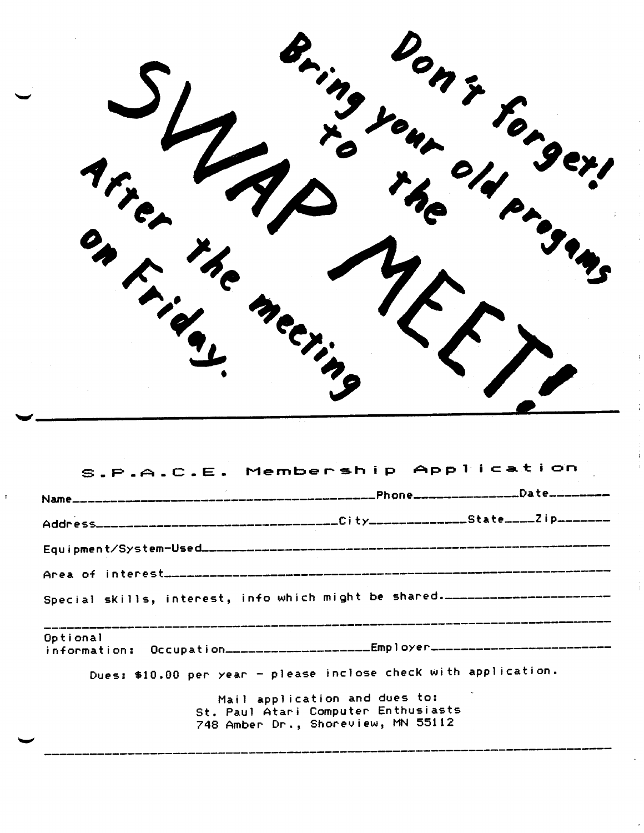|                                                                                              |                                                                                                                                                                                                                                                 | i forme                         |
|----------------------------------------------------------------------------------------------|-------------------------------------------------------------------------------------------------------------------------------------------------------------------------------------------------------------------------------------------------|---------------------------------|
|                                                                                              |                                                                                                                                                                                                                                                 |                                 |
|                                                                                              |                                                                                                                                                                                                                                                 |                                 |
|                                                                                              |                                                                                                                                                                                                                                                 | $\mathcal{P}_{\mathcal{K}_{f}}$ |
|                                                                                              |                                                                                                                                                                                                                                                 |                                 |
|                                                                                              |                                                                                                                                                                                                                                                 |                                 |
|                                                                                              |                                                                                                                                                                                                                                                 |                                 |
|                                                                                              |                                                                                                                                                                                                                                                 |                                 |
| S.P.A.C.E. Membership Application                                                            | _Phone_<br><u>the contract of the contract of the contract of the contract of the contract of the contract of the contract of the contract of the contract of the contract of the contract of the contract of the contract of the contract </u> | .Date___                        |
| Name__________________                                                                       |                                                                                                                                                                                                                                                 |                                 |
|                                                                                              |                                                                                                                                                                                                                                                 |                                 |
|                                                                                              |                                                                                                                                                                                                                                                 |                                 |
| Special skills, interest, info which might be shared.________________________                |                                                                                                                                                                                                                                                 |                                 |
| Optional<br>information: Occupation__________________Employer_______________________________ |                                                                                                                                                                                                                                                 |                                 |
| Dues: \$10.00 per year - please inclose check with application.                              |                                                                                                                                                                                                                                                 |                                 |

 $\bar{t}$ 

 $\frac{1}{2}$ 

 $\frac{1}{2}$ 

 $\frac{1}{2}$ 

 $\frac{1}{k}$ 

 $\hat{\bf{q}}$  $\gamma$ 

 $\frac{1}{4}$ 

 $\ddot{\phantom{a}}$ 

--------------

 $\mathbf{I}$